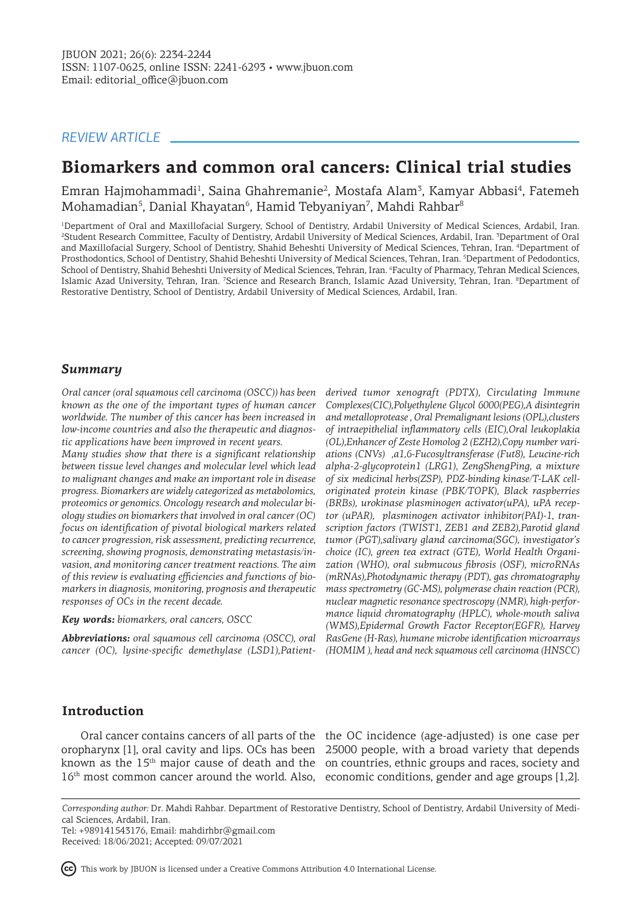# *REVIEW ARTICLE*

# **Biomarkers and common oral cancers: Clinical trial studies**

Emran Hajmohammadi<sup>1</sup>, Saina Ghahremanie<sup>2</sup>, Mostafa Alam<sup>3</sup>, Kamyar Abbasi<sup>4</sup>, Fatemeh Mohamadian<sup>5</sup>, Danial Khayatan<sup>6</sup>, Hamid Tebyaniyan<sup>7</sup>, Mahdi Rahbar<sup>8</sup>

1 Department of Oral and Maxillofacial Surgery, School of Dentistry, Ardabil University of Medical Sciences, Ardabil, Iran. 2 Student Research Committee, Faculty of Dentistry, Ardabil University of Medical Sciences, Ardabil, Iran. <sup>3</sup> Department of Oral and Maxillofacial Surgery, School of Dentistry, Shahid Beheshti University of Medical Sciences, Tehran, Iran. <sup>4</sup> Department of Prosthodontics, School of Dentistry, Shahid Beheshti University of Medical Sciences, Tehran, Iran. <sup>5</sup>Department of Pedodontics, School of Dentistry, Shahid Beheshti University of Medical Sciences, Tehran, Iran. <sup>6</sup>Faculty of Pharmacy, Tehran Medical Sciences, Islamic Azad University, Tehran, Iran. <sup>7</sup>Science and Research Branch, Islamic Azad University, Tehran, Iran. <sup>8</sup>Department of Restorative Dentistry, School of Dentistry, Ardabil University of Medical Sciences, Ardabil, Iran.

# *Summary*

*Oral cancer (oral squamous cell carcinoma (OSCC)) has been known as the one of the important types of human cancer worldwide. The number of this cancer has been increased in low-income countries and also the therapeutic and diagnostic applications have been improved in recent years.* 

*Many studies show that there is a significant relationship between tissue level changes and molecular level which lead to malignant changes and make an important role in disease progress. Biomarkers are widely categorized as metabolomics, proteomics or genomics. Oncology research and molecular biology studies on biomarkers that involved in oral cancer (OC) focus on identification of pivotal biological markers related to cancer progression, risk assessment, predicting recurrence, screening, showing prognosis, demonstrating metastasis/invasion, and monitoring cancer treatment reactions. The aim of this review is evaluating efficiencies and functions of biomarkers in diagnosis, monitoring, prognosis and therapeutic responses of OCs in the recent decade.* 

*Key words: biomarkers, oral cancers, OSCC*

*Abbreviations: oral squamous cell carcinoma (OSCC), oral cancer (OC), lysine-specific demethylase (LSD1),Patient-*

*derived tumor xenograft (PDTX), Circulating Immune Complexes(CIC),Polyethylene Glycol 6000(PEG),A disintegrin and metalloprotease , Oral Premalignant lesions (OPL),clusters of intraepithelial inflammatory cells (EIC),Oral leukoplakia (OL),Enhancer of Zeste Homolog 2 (EZH2),Copy number variations (CNVs) ,α1,6-Fucosyltransferase (Fut8), Leucine-rich alpha-2-glycoprotein1 (LRG1), ZengShengPing, a mixture of six medicinal herbs(ZSP), PDZ-binding kinase/T-LAK celloriginated protein kinase (PBK/TOPK), Black raspberries (BRBs), urokinase plasminogen activator(uPA), uPA receptor (uPAR), plasminogen activator inhibitor(PAI)-1, transcription factors (TWIST1, ZEB1 and ZEB2),Parotid gland tumor (PGT),salivary gland carcinoma(SGC), investigator's choice (IC), green tea extract (GTE), World Health Organization (WHO), oral submucous fibrosis (OSF), microRNAs (mRNAs),Photodynamic therapy (PDT), gas chromatography mass spectrometry (GC-MS), polymerase chain reaction (PCR), nuclear magnetic resonance spectroscopy (NMR), high-performance liquid chromatography (HPLC), whole-mouth saliva (WMS),Epidermal Growth Factor Receptor(EGFR), Harvey RasGene (H‑Ras), humane microbe identification microarrays (HOMIM ), head and neck squamous cell carcinoma (HNSCC)*

# **Introduction**

Oral cancer contains cancers of all parts of the the OC incidence (age-adjusted) is one case per oropharynx [1], oral cavity and lips. OCs has been 25000 people, with a broad variety that depends known as the 15<sup>th</sup> major cause of death and the on countries, ethnic groups and races, society and 16<sup>th</sup> most common cancer around the world. Also, economic conditions, gender and age groups [1,2].

Tel: +989141543176, Email: mahdirhbr@gmail.com Received: 18/06/2021; Accepted: 09/07/2021

*Corresponding author:* Dr. Mahdi Rahbar. Department of Restorative Dentistry, School of Dentistry, Ardabil University of Medical Sciences, Ardabil, Iran.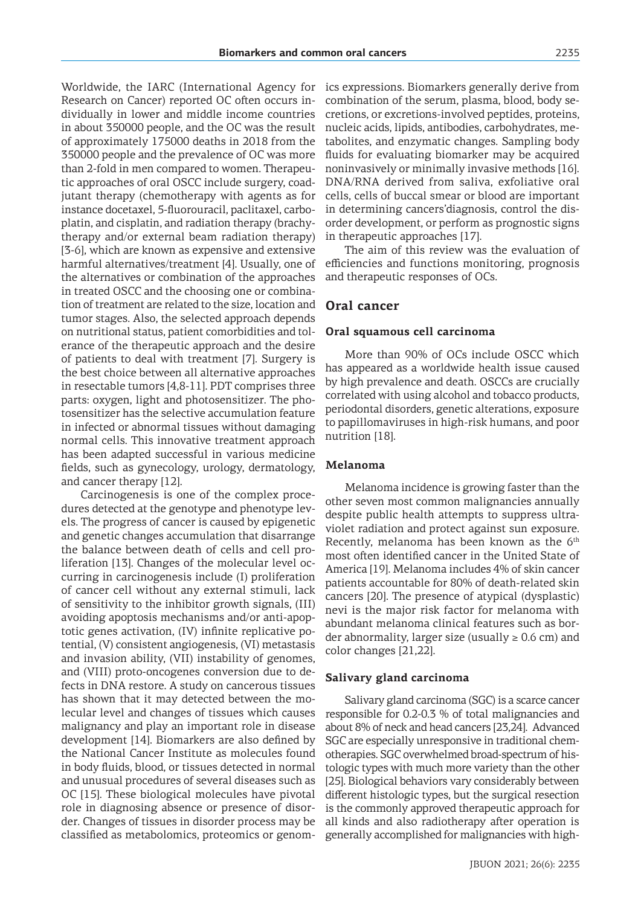Worldwide, the IARC (International Agency for Research on Cancer) reported OC often occurs individually in lower and middle income countries in about 350000 people, and the OC was the result of approximately 175000 deaths in 2018 from the 350000 people and the prevalence of OC was more than 2-fold in men compared to women. Therapeutic approaches of oral OSCC include surgery, coadjutant therapy (chemotherapy with agents as for instance docetaxel, 5-fluorouracil, paclitaxel, carboplatin, and cisplatin, and radiation therapy (brachytherapy and/or external beam radiation therapy) [3-6], which are known as expensive and extensive harmful alternatives/treatment [4]. Usually, one of the alternatives or combination of the approaches in treated OSCC and the choosing one or combination of treatment are related to the size, location and tumor stages. Also, the selected approach depends on nutritional status, patient comorbidities and tolerance of the therapeutic approach and the desire of patients to deal with treatment [7]. Surgery is the best choice between all alternative approaches in resectable tumors [4,8-11]. PDT comprises three parts: oxygen, light and photosensitizer. The photosensitizer has the selective accumulation feature in infected or abnormal tissues without damaging normal cells. This innovative treatment approach has been adapted successful in various medicine fields, such as gynecology, urology, dermatology, and cancer therapy [12].

Carcinogenesis is one of the complex procedures detected at the genotype and phenotype levels. The progress of cancer is caused by epigenetic and genetic changes accumulation that disarrange the balance between death of cells and cell proliferation [13]. Changes of the molecular level occurring in carcinogenesis include (I) proliferation of cancer cell without any external stimuli, lack of sensitivity to the inhibitor growth signals, (III) avoiding apoptosis mechanisms and/or anti-apoptotic genes activation, (IV) infinite replicative potential, (V) consistent angiogenesis, (VI) metastasis and invasion ability, (VII) instability of genomes, and (VIII) proto-oncogenes conversion due to defects in DNA restore. A study on cancerous tissues has shown that it may detected between the molecular level and changes of tissues which causes malignancy and play an important role in disease development [14]. Biomarkers are also defined by the National Cancer Institute as molecules found in body fluids, blood, or tissues detected in normal and unusual procedures of several diseases such as OC [15]. These biological molecules have pivotal role in diagnosing absence or presence of disorder. Changes of tissues in disorder process may be classified as metabolomics, proteomics or genomics expressions. Biomarkers generally derive from combination of the serum, plasma, blood, body secretions, or excretions-involved peptides, proteins, nucleic acids, lipids, antibodies, carbohydrates, metabolites, and enzymatic changes. Sampling body fluids for evaluating biomarker may be acquired noninvasively or minimally invasive methods [16]. DNA/RNA derived from saliva, exfoliative oral cells, cells of buccal smear or blood are important in determining cancers'diagnosis, control the disorder development, or perform as prognostic signs in therapeutic approaches [17].

The aim of this review was the evaluation of efficiencies and functions monitoring, prognosis and therapeutic responses of OCs.

# **Oral cancer**

#### **Oral squamous cell carcinoma**

More than 90% of OCs include OSCC which has appeared as a worldwide health issue caused by high prevalence and death. OSCCs are crucially correlated with using alcohol and tobacco products, periodontal disorders, genetic alterations, exposure to papillomaviruses in high-risk humans, and poor nutrition [18].

#### **Melanoma**

Melanoma incidence is growing faster than the other seven most common malignancies annually despite public health attempts to suppress ultraviolet radiation and protect against sun exposure. Recently, melanoma has been known as the  $6<sup>th</sup>$ most often identified cancer in the United State of America [19]. Melanoma includes 4% of skin cancer patients accountable for 80% of death-related skin cancers [20]. The presence of atypical (dysplastic) nevi is the major risk factor for melanoma with abundant melanoma clinical features such as border abnormality, larger size (usually  $\geq 0.6$  cm) and color changes [21,22].

#### **Salivary gland carcinoma**

Salivary gland carcinoma (SGC) is a scarce cancer responsible for 0.2-0.3 % of total malignancies and about 8% of neck and head cancers [23,24]. Advanced SGC are especially unresponsive in traditional chemotherapies. SGC overwhelmed broad-spectrum of histologic types with much more variety than the other [25]. Biological behaviors vary considerably between different histologic types, but the surgical resection is the commonly approved therapeutic approach for all kinds and also radiotherapy after operation is generally accomplished for malignancies with high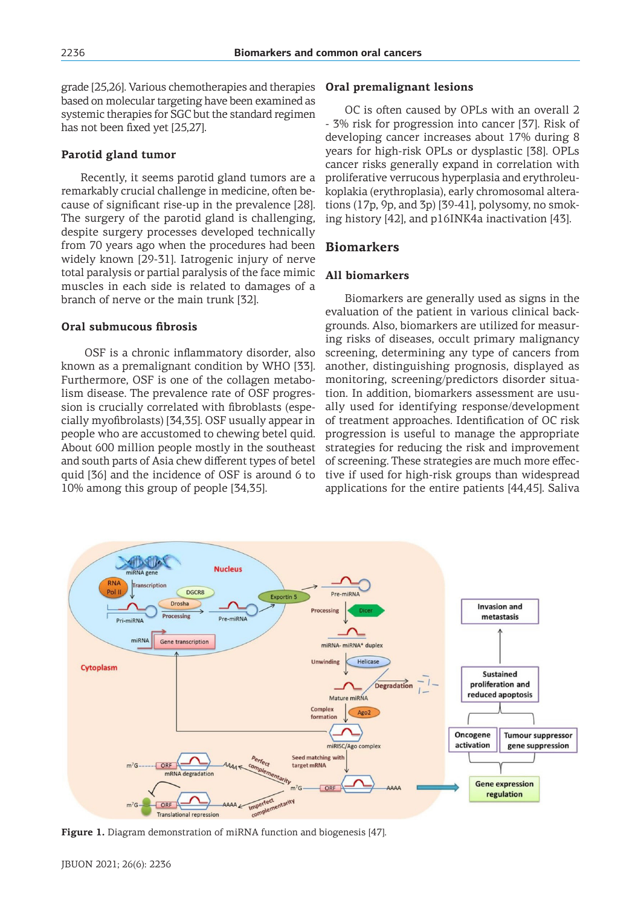grade [25,26]. Various chemotherapies and therapies based on molecular targeting have been examined as systemic therapies for SGC but the standard regimen has not been fixed yet [25,27].

# **Parotid gland tumor**

Recently, it seems parotid gland tumors are a remarkably crucial challenge in medicine, often because of significant rise-up in the prevalence [28]. The surgery of the parotid gland is challenging, despite surgery processes developed technically from 70 years ago when the procedures had been widely known [29-31]. Iatrogenic injury of nerve total paralysis or partial paralysis of the face mimic muscles in each side is related to damages of a branch of nerve or the main trunk [32].

# **Oral submucous fibrosis**

 OSF is a chronic inflammatory disorder, also known as a premalignant condition by WHO [33]. Furthermore, OSF is one of the collagen metabolism disease. The prevalence rate of OSF progression is crucially correlated with fibroblasts (especially myofibrolasts) [34,35]. OSF usually appear in people who are accustomed to chewing betel quid. About 600 million people mostly in the southeast and south parts of Asia chew different types of betel quid [36] and the incidence of OSF is around 6 to 10% among this group of people [34,35].

#### **Oral premalignant lesions**

OC is often caused by OPLs with an overall 2 - 3% risk for progression into cancer [37]. Risk of developing cancer increases about 17% during 8 years for high-risk OPLs or dysplastic [38]. OPLs cancer risks generally expand in correlation with proliferative verrucous hyperplasia and erythroleukoplakia (erythroplasia), early chromosomal alterations (17p, 9p, and 3p) [39-41], polysomy, no smoking history [42], and p16INK4a inactivation [43].

# **Biomarkers**

#### **All biomarkers**

Biomarkers are generally used as signs in the evaluation of the patient in various clinical backgrounds. Also, biomarkers are utilized for measuring risks of diseases, occult primary malignancy screening, determining any type of cancers from another, distinguishing prognosis, displayed as monitoring, screening/predictors disorder situation. In addition, biomarkers assessment are usually used for identifying response/development of treatment approaches. Identification of OC risk progression is useful to manage the appropriate strategies for reducing the risk and improvement of screening. These strategies are much more effective if used for high-risk groups than widespread applications for the entire patients [44,45]. Saliva



**Figure 1.** Diagram demonstration of miRNA function and biogenesis [47].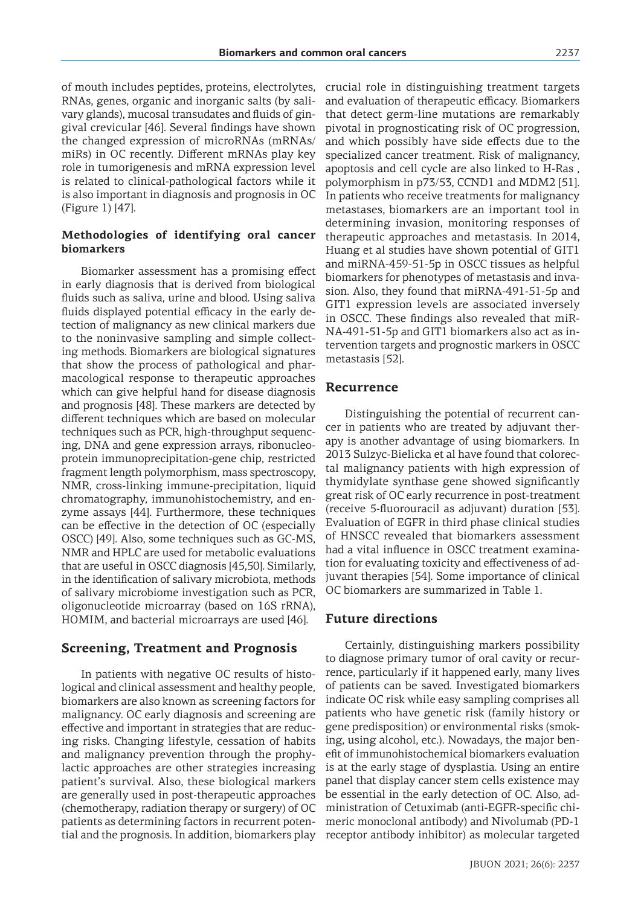of mouth includes peptides, proteins, electrolytes, RNAs, genes, organic and inorganic salts (by salivary glands), mucosal transudates and fluids of gingival crevicular [46]. Several findings have shown the changed expression of microRNAs (mRNAs/ miRs) in OC recently. Different mRNAs play key role in tumorigenesis and mRNA expression level is related to clinical-pathological factors while it is also important in diagnosis and prognosis in OC (Figure 1) [47].

### **Methodologies of identifying oral cancer biomarkers**

Biomarker assessment has a promising effect in early diagnosis that is derived from biological fluids such as saliva, urine and blood. Using saliva fluids displayed potential efficacy in the early detection of malignancy as new clinical markers due to the noninvasive sampling and simple collecting methods. Biomarkers are biological signatures that show the process of pathological and pharmacological response to therapeutic approaches which can give helpful hand for disease diagnosis and prognosis [48]. These markers are detected by different techniques which are based on molecular techniques such as PCR, high-throughput sequencing, DNA and gene expression arrays, ribonucleoprotein immunoprecipitation‑gene chip, restricted fragment length polymorphism, mass spectroscopy, NMR, cross‑linking immune‑precipitation, liquid chromatography, immunohistochemistry, and enzyme assays [44]. Furthermore, these techniques can be effective in the detection of OC (especially OSCC) [49]. Also, some techniques such as GC-MS, NMR and HPLC are used for metabolic evaluations that are useful in OSCC diagnosis [45,50]. Similarly, in the identification of salivary microbiota, methods of salivary microbiome investigation such as PCR, oligonucleotide microarray (based on 16S rRNA), HOMIM, and bacterial microarrays are used [46].

#### **Screening, Treatment and Prognosis**

In patients with negative OC results of histological and clinical assessment and healthy people, biomarkers are also known as screening factors for malignancy. OC early diagnosis and screening are effective and important in strategies that are reducing risks. Changing lifestyle, cessation of habits and malignancy prevention through the prophylactic approaches are other strategies increasing patient's survival. Also, these biological markers are generally used in post-therapeutic approaches (chemotherapy, radiation therapy or surgery) of OC patients as determining factors in recurrent potential and the prognosis. In addition, biomarkers play crucial role in distinguishing treatment targets and evaluation of therapeutic efficacy. Biomarkers that detect germ-line mutations are remarkably pivotal in prognosticating risk of OC progression, and which possibly have side effects due to the specialized cancer treatment. Risk of malignancy, apoptosis and cell cycle are also linked to H‑Ras , polymorphism in p73/53, CCND1 and MDM2 [51]. In patients who receive treatments for malignancy metastases, biomarkers are an important tool in determining invasion, monitoring responses of therapeutic approaches and metastasis. In 2014, Huang et al studies have shown potential of GIT1 and miRNA‑459‑51‑5p in OSCC tissues as helpful biomarkers for phenotypes of metastasis and invasion. Also, they found that miRNA‑491‑51‑5p and GIT1 expression levels are associated inversely in OSCC. These findings also revealed that miR-NA-491-51-5p and GIT1 biomarkers also act as intervention targets and prognostic markers in OSCC metastasis [52].

#### **Recurrence**

Distinguishing the potential of recurrent cancer in patients who are treated by adjuvant therapy is another advantage of using biomarkers. In 2013 Sulzyc‑Bielicka et al have found that colorectal malignancy patients with high expression of thymidylate synthase gene showed significantly great risk of OC early recurrence in post-treatment (receive 5‑fluorouracil as adjuvant) duration [53]. Evaluation of EGFR in third phase clinical studies of HNSCC revealed that biomarkers assessment had a vital influence in OSCC treatment examination for evaluating toxicity and effectiveness of adjuvant therapies [54]. Some importance of clinical OC biomarkers are summarized in Table 1.

#### **Future directions**

Certainly, distinguishing markers possibility to diagnose primary tumor of oral cavity or recurrence, particularly if it happened early, many lives of patients can be saved. Investigated biomarkers indicate OC risk while easy sampling comprises all patients who have genetic risk (family history or gene predisposition) or environmental risks (smoking, using alcohol, etc.). Nowadays, the major benefit of immunohistochemical biomarkers evaluation is at the early stage of dysplastia. Using an entire panel that display cancer stem cells existence may be essential in the early detection of OC. Also, administration of Cetuximab (anti-EGFR-specific chimeric monoclonal antibody) and Nivolumab (PD-1 receptor antibody inhibitor) as molecular targeted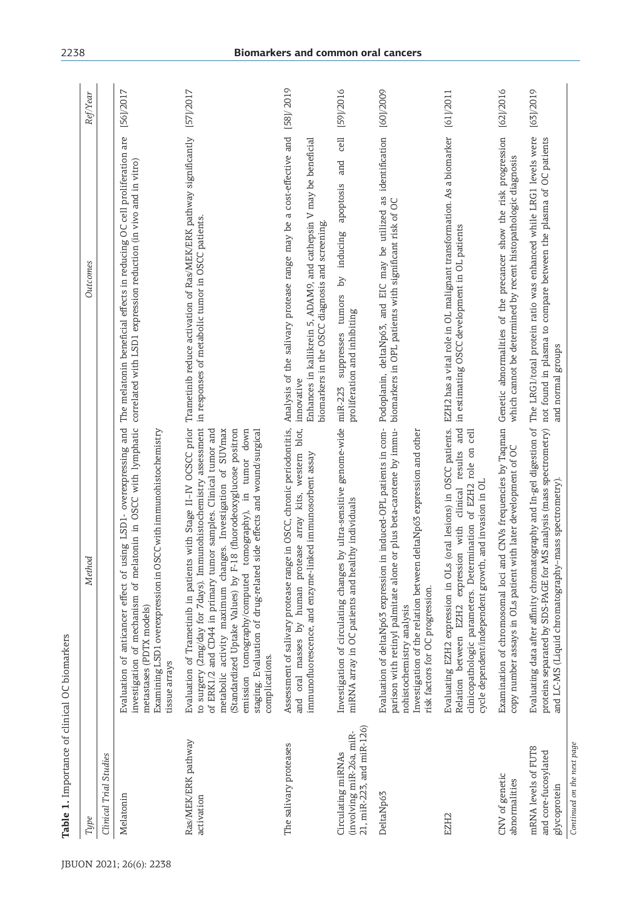| Type                                                                        | Method                                                                                                                                                                                                                                                                                                                                                                                                                                                                                                                                                                  | Outcomes                                                                                                                                                                                                   | Ref/Year       |
|-----------------------------------------------------------------------------|-------------------------------------------------------------------------------------------------------------------------------------------------------------------------------------------------------------------------------------------------------------------------------------------------------------------------------------------------------------------------------------------------------------------------------------------------------------------------------------------------------------------------------------------------------------------------|------------------------------------------------------------------------------------------------------------------------------------------------------------------------------------------------------------|----------------|
| Clinical Trial Studies                                                      |                                                                                                                                                                                                                                                                                                                                                                                                                                                                                                                                                                         |                                                                                                                                                                                                            |                |
| Melatonin                                                                   | investigation of mechanism of melatonin in OSCC with lymphatic correlated with LSD1 expression reduction (in vivo and in vitro)<br>Evaluation of anticancer effect of using LSD1- overexpressing and<br>Examining LSD1 overexpression in OSCC with immunohistochemistry<br>metastases (PDTX models)<br>tissue arrays                                                                                                                                                                                                                                                    | The melatonin beneficial effects in reducing OC cell proliferation are                                                                                                                                     | [56]/2017      |
| Ras/MEK/ERK pathway<br>activation                                           | Evaluation of Trametinib in patients with Stage II-IV OCSCC prior Trametinib reduce activation of Ras/MEK/ERK pathway significantly<br>to surgery (2mg/day for 7days). Immunohistochemistry assessment<br>metabolic activity maximum changes. Investigation of SUVmax<br>(Standardized Uptake Values) by F-18 (fluorodeoxyglucose positron<br>down<br>of ERK1/2 and CD44 in primary tumor samples. Clinical tumor and<br>staging. Evaluation of drug-related side effects and wound/surgical<br>tumor<br>emission tomography/computed tomography), in<br>complications. | in responses of metabolic tumor in OSCC patients.                                                                                                                                                          | [57]/2017      |
| The salivary proteases                                                      | Assessment of salivary protease range in OSCC, chronic periodontitis,<br>and oral masses by human protease array kits, western blot,<br>immunofluorescence, and enzyme-linked immunosorbent assay                                                                                                                                                                                                                                                                                                                                                                       | Analysis of the salivary protease range may be a cost-effective and<br>Enhances in kallikrein 5, ADAM9, and cathepsin V may be beneficial<br>biomarkers in the OSCC diagnosis and screening.<br>innovative | [58] / 2019    |
| 21, miR-223, and miR-126)<br>(involving miR-26a, miR-<br>Circulating miRNAs | by ultra-sensitive genome-wide miR-223 suppresses tumors<br>miRNA array in OC patients and healthy individuals<br>Investigation of circulating changes                                                                                                                                                                                                                                                                                                                                                                                                                  | and<br>apoptosis<br>by inducing<br>proliferation and inhibiting                                                                                                                                            | cell [59]/2016 |
| DeltaNp63                                                                   | Evaluation of deltaNp63 expression in induced-OPL patients in com-<br>or plus beta-carotene by immu-<br>deltaNp63 expression and other<br>parison with retinyl palmitate alone<br>Investigation of the relation between<br>risk factors for OC progression.<br>nohistochemistry analysis                                                                                                                                                                                                                                                                                | Podoplanin, deltaNp63, and EIC may be utilized as identification [60]/2009<br>biomarkers in OPL patients with significant risk of OC                                                                       |                |
| EZH <sub>2</sub>                                                            | oral lesions) in OSCC patients.<br>Relation between EZH2 expression with clinical results and<br>clinicopathologic parameters. Determination of EZH2 role on cell<br>cycle dependent/independent growth, and invasion in OL<br>Evaluating EZH2 expression in OLs                                                                                                                                                                                                                                                                                                        | EZH2 has a vital role in OL malignant transformation. As a biomarker [61]/2011<br>in estimating OSCC development in OL patients                                                                            |                |
| CNV of genetic<br>abnormalities                                             | Examination of chromosomal loci and CNVs frequencies by Taqman<br>copy number assays in OLs patient with later development of OC                                                                                                                                                                                                                                                                                                                                                                                                                                        | Genetic abnormalities of the precancer show the risk progression<br>which cannot be determined by recent histopathologic diagnosis                                                                         | [62]/2016      |
| mRNA levels of FUT8<br>and core-fucosylated<br>glycoprotein                 | Evaluating data after affinity chromatography and In-gel digestion of<br>proteins separated by SDS-PAGE for MS analysis (mass spectrometry)<br>and LC-MS (Liquid chromatography-mass spectrometry).                                                                                                                                                                                                                                                                                                                                                                     | The LRG1/total protein ratio was enhanced while LRG1 levels were<br>not found in plasma to compare between the plasma of OC patients<br>and normal groups                                                  | [63]/2019      |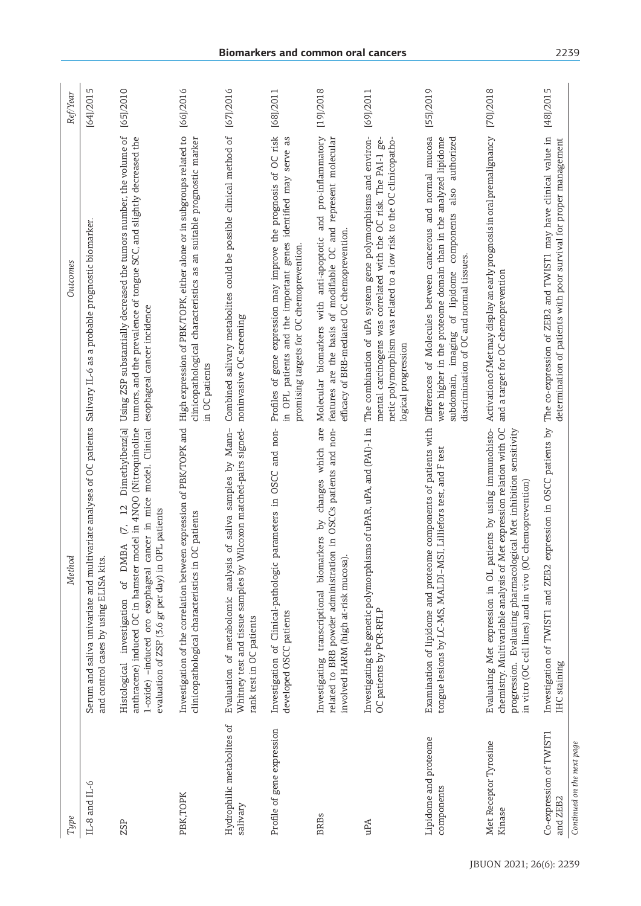| Type                                            | Method                                                                                                                                                                                                                                                                              | Outcomes                                                                                                                                                                                                                                           | Ref/Year        |
|-------------------------------------------------|-------------------------------------------------------------------------------------------------------------------------------------------------------------------------------------------------------------------------------------------------------------------------------------|----------------------------------------------------------------------------------------------------------------------------------------------------------------------------------------------------------------------------------------------------|-----------------|
| $IL-8$ and $IL-6$                               | Serum and saliva univariate and multivariate analyses of OC patients Salivary IL-6 as a probable prognostic biomarker.<br>and control cases by using ELISA kits.                                                                                                                    |                                                                                                                                                                                                                                                    | m<br>[64] / 201 |
| ZSP                                             | Dimethylbenz[a]<br>anthracene) induced OC in hamster model in 4NQO (Nitroquinoline<br>1-oxide) -induced oro esophageal cancer in mice model. Clinical<br>$\overline{12}$<br>evaluation of ZSP (3.6 gr per day) in OPL patients<br>$\tilde{C}$<br>Histological investigation of DMBA | Using ZSP substantially decreased the tumors number, the volume of<br>tumors, and the prevalence of tongue SCC, and slightly decreased the<br>esophageal cancer incidence                                                                          | [65]/2010       |
| PBK, TOPK                                       | Investigation of the correlation between expression of PBK/TOPK and<br>OC patients<br>clinicopathological characteristics in                                                                                                                                                        | High expression of PBK/TOPK, either alone or in subgroups related to<br>clinicopathological characteristics as an suitable prognostic marker<br>in OC patients                                                                                     | [66]/2016       |
| Hydrophilic metabolites of<br>salivary          | Whitney test and tissue samples by Wilcoxon matched-pairs signed-<br>of saliva samples by Mann-<br>Evaluation of metabolomic analysis<br>rank test in OC patients                                                                                                                   | Combined salivary metabolites could be possible clinical method of [67]/2016<br>noninvasive OC screening                                                                                                                                           |                 |
| Profile of gene expression                      | and non-<br>parameters in OSCC<br>Investigation of Clinical-pathologic<br>developed OSCC patients                                                                                                                                                                                   | Profiles of gene expression may improve the prognosis of OC risk<br>genes identified may serve as<br>promising targets for OC chemoprevention.<br>in OPL patients and the important                                                                | [68]/2011       |
| <b>BRBs</b>                                     | Investigating transcriptional biomarkers by changes which are<br>related to BRB powder administration in OSCCs patients and non-<br>involved HARM (high at-risk mucosa)                                                                                                             | Molecular biomarkers with anti-apoptotic and pro-inflammatory<br>features are the basis of modifiable OC and represent molecular<br>efficacy of BRB-mediated OC chemoprevention.                                                                   | [19] / 2018     |
| uPA                                             | Investigating the genetic polymorphisms of uPAR, uPA, and (PAI)-1 in<br>OC patients by PCR-RFLP                                                                                                                                                                                     | The combination of uPA system gene polymorphisms and environ-<br>mental carcinogens was correlated with the OC risk. The PAI-1 ge-<br>netic polymorphism was related to a low risk to the OC clinicopatho-<br>logical progression                  | [69]/2011       |
| Lipidome and proteome<br>components             | Examination of lipidome and proteome components of patients with<br>tongue lesions by LC-MS, MALDI-MSI, Lilliefors test, and F test                                                                                                                                                 | Differences of Molecules between cancerous and normal mucosa<br>were higher in the proteome domain than in the analyzed lipidome<br>authorized<br>also<br>components<br>discrimination of OC and normal tissues.<br>subdomain, imaging of lipidome | [55]/2019       |
| Met Receptor Tyrosine<br>Kinase                 | Evaluating Met expression in OL patients by using immunohisto-<br>chemistry. Multivariable analysis of Met expression relation with OC<br>progression. Evaluating pharmacological Met inhibition sensitivity<br>chemoprevention)<br>in vitro (OC cell lines) and in vivo (OC        | Activation of Met may display an early prognosis in oral premalignancy<br>and a target for OC chemoprevention                                                                                                                                      | [70]/2018       |
| Co-expression of TWIST1<br>and ZEB <sub>2</sub> | Investigation of TWIST1 and ZEB2<br>IHC staining                                                                                                                                                                                                                                    | expression in OSCC patients by The co-expression of ZEB2 and TWIST1 may have clinical value in<br>determination of patients with poor survival for proper management                                                                               | [48]/2015       |
| Continued on the next page                      |                                                                                                                                                                                                                                                                                     |                                                                                                                                                                                                                                                    |                 |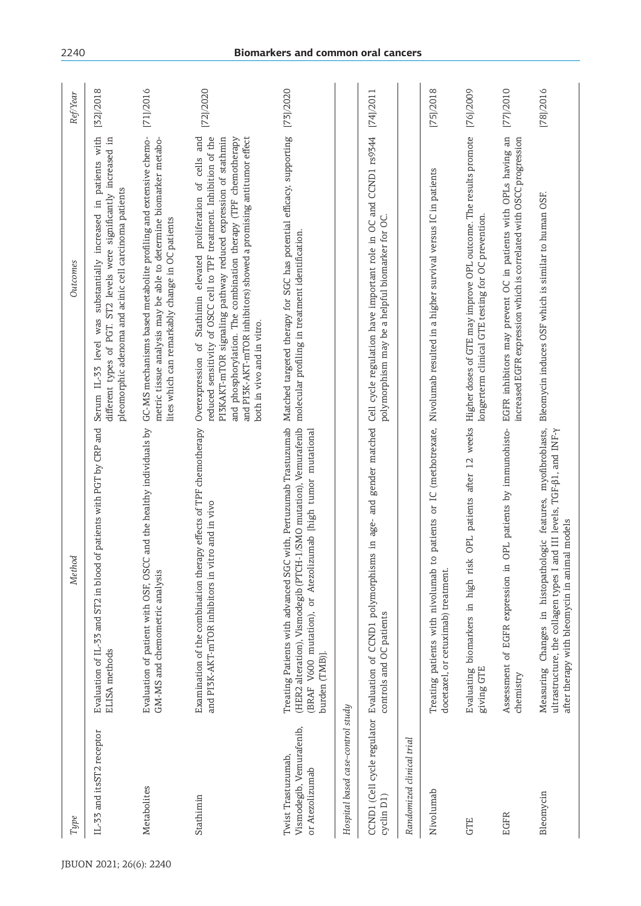| Type                                                              | Method                                                                                                                                                                                                                 | Outcomes                                                                                                                                                                                                                                                                                                                                                                         | RefYear     |
|-------------------------------------------------------------------|------------------------------------------------------------------------------------------------------------------------------------------------------------------------------------------------------------------------|----------------------------------------------------------------------------------------------------------------------------------------------------------------------------------------------------------------------------------------------------------------------------------------------------------------------------------------------------------------------------------|-------------|
| IL-33 and itsST2 receptor                                         | of patients with PGT by CRP and<br>Evaluation of IL-33 and ST2 in blood<br>ELISA methods                                                                                                                               | Serum IL-33 level was substantially increased in patients with<br>different types of PGT. ST2 levels were significantly increased in<br>pleomorphic adenoma and acinic cell carcinoma patients                                                                                                                                                                                   | [32]/2018   |
| Metabolites                                                       | Evaluation of patient with OSF, OSCC and the healthy individuals by<br>GM-MS and chemometric analysis                                                                                                                  | GC-MS mechanisms based metabolite profiling and extensive chemo-<br>metric tissue analysis may be able to determine biomarker metabo-<br>lites which can remarkably change in OC patients                                                                                                                                                                                        | [71]/2016   |
| Stathimin                                                         | Examination of the combination therapy effects of TPF chemotherapy<br>and PI3K-AKT-mTOR inhibitors in vitro and in vivo                                                                                                | and PI3K-AKT-mTOR inhibitors) showed a promising antitumor effect<br>and<br>reduced sensitivity of OSCC cell to TPF treatment. Inhibition of the<br>and phosphorylation. The combination therapy (TPF chemotherapy<br>PISKAKT-mTOR signaling pathway reduced expression of stathmin<br>Overexpression of Stathimin elevated proliferation of cells<br>both in vivo and in vitro. | [72]/2020   |
| Vismodegib, Vemurafenib,<br>Twist Trastuzumab,<br>or Atezolizumab | Treating Patients with advanced SGC with, Pertuzumab Trastuzumab<br>(HER2 alteration), Vismodegib (PTCH-1/SMO mutation), Vemurafenib<br>(BRAF V600 mutation), or Atezolizumab [high tumor mutational<br>burden (TMB)]. | Matched targeted therapy for SGC has potential efficacy, supporting<br>molecular profiling in treatment identification.                                                                                                                                                                                                                                                          | [73]/2020   |
| Hospital based case–control study                                 |                                                                                                                                                                                                                        |                                                                                                                                                                                                                                                                                                                                                                                  |             |
| CCND1 (Cell cycle regulator<br>cyclin D1)                         | Evaluation of CCND1 polymorphisms in age- and gender matched<br>controls and OC patients                                                                                                                               | Cell cycle regulation have important role in OC and CCND1 rs9344<br>polymorphism may be a helpful biomarker for OC.                                                                                                                                                                                                                                                              | [74]/2011   |
| Randomized clinical trial                                         |                                                                                                                                                                                                                        |                                                                                                                                                                                                                                                                                                                                                                                  |             |
| Nivolumab                                                         | Treating patients with nivolumab<br>docetaxel, or cetuximab) treatment.                                                                                                                                                | to patients or IC (methotrexate, Nivolumab resulted in a higher survival versus IC in patients                                                                                                                                                                                                                                                                                   | [75]/2018   |
| GTE                                                               | OPL patients after 12 weeks<br>Evaluating biomarkers in high risk<br>giving GTE                                                                                                                                        | Higher doses of GTE may improve OPL outcome. The results promote<br>longerterm clinical GTE testing for OC prevention.                                                                                                                                                                                                                                                           | [76]/2009   |
| <b>EGFR</b>                                                       | OPL patients by immunohisto-<br>Assessment of EGFR expression in<br>chemistry                                                                                                                                          | EGFR inhibitors may prevent OC in patients with OPLs having an<br>increased EGFR expression which is correlated with OSCC progression                                                                                                                                                                                                                                            | [77] / 2010 |
| Bleomycin                                                         | Measuring Changes in histopathologic features, myofibroblasts,<br>ultrastructure, the collagen types I and III levels, TGF-β1, and INF-γ<br>after therapy with bleomycin in animal models                              | Bleomycin induces OSF which is similar to human OSF.                                                                                                                                                                                                                                                                                                                             | [78]/2016   |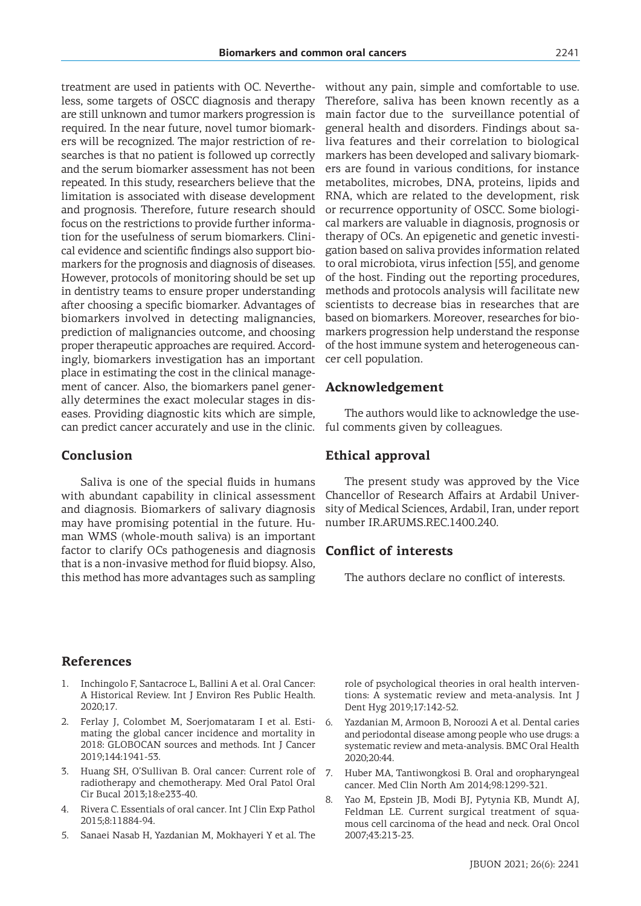treatment are used in patients with OC. Nevertheless, some targets of OSCC diagnosis and therapy are still unknown and tumor markers progression is required. In the near future, novel tumor biomarkers will be recognized. The major restriction of researches is that no patient is followed up correctly and the serum biomarker assessment has not been repeated. In this study, researchers believe that the limitation is associated with disease development and prognosis. Therefore, future research should focus on the restrictions to provide further information for the usefulness of serum biomarkers. Clinical evidence and scientific findings also support biomarkers for the prognosis and diagnosis of diseases. However, protocols of monitoring should be set up in dentistry teams to ensure proper understanding after choosing a specific biomarker. Advantages of biomarkers involved in detecting malignancies, prediction of malignancies outcome, and choosing proper therapeutic approaches are required. Accordingly, biomarkers investigation has an important place in estimating the cost in the clinical management of cancer. Also, the biomarkers panel generally determines the exact molecular stages in diseases. Providing diagnostic kits which are simple, can predict cancer accurately and use in the clinic.

# **Conclusion**

Saliva is one of the special fluids in humans with abundant capability in clinical assessment and diagnosis. Biomarkers of salivary diagnosis may have promising potential in the future. Human WMS (whole-mouth saliva) is an important factor to clarify OCs pathogenesis and diagnosis that is a non-invasive method for fluid biopsy. Also, this method has more advantages such as sampling

without any pain, simple and comfortable to use. Therefore, saliva has been known recently as a main factor due to the surveillance potential of general health and disorders. Findings about saliva features and their correlation to biological markers has been developed and salivary biomarkers are found in various conditions, for instance metabolites, microbes, DNA, proteins, lipids and RNA, which are related to the development, risk or recurrence opportunity of OSCC. Some biological markers are valuable in diagnosis, prognosis or therapy of OCs. An epigenetic and genetic investigation based on saliva provides information related to oral microbiota, virus infection [55], and genome of the host. Finding out the reporting procedures, methods and protocols analysis will facilitate new scientists to decrease bias in researches that are based on biomarkers. Moreover, researches for biomarkers progression help understand the response of the host immune system and heterogeneous cancer cell population.

# **Acknowledgement**

The authors would like to acknowledge the useful comments given by colleagues.

# **Ethical approval**

The present study was approved by the Vice Chancellor of Research Affairs at Ardabil University of Medical Sciences, Ardabil, Iran, under report number IR.ARUMS.REC.1400.240.

# **Conflict of interests**

The authors declare no conflict of interests.

# **References**

- 1. Inchingolo F, Santacroce L, Ballini A et al. Oral Cancer: A Historical Review. Int J Environ Res Public Health. 2020;17.
- 2. Ferlay J, Colombet M, Soerjomataram I et al. Estimating the global cancer incidence and mortality in 2018: GLOBOCAN sources and methods. Int J Cancer 2019;144:1941-53.
- 3. Huang SH, O'Sullivan B. Oral cancer: Current role of radiotherapy and chemotherapy. Med Oral Patol Oral Cir Bucal 2013;18:e233-40.
- 4. Rivera C. Essentials of oral cancer. Int J Clin Exp Pathol 2015;8:11884-94.
- 5. Sanaei Nasab H, Yazdanian M, Mokhayeri Y et al. The

role of psychological theories in oral health interventions: A systematic review and meta-analysis. Int J Dent Hyg 2019;17:142-52.

- 6. Yazdanian M, Armoon B, Noroozi A et al. Dental caries and periodontal disease among people who use drugs: a systematic review and meta-analysis. BMC Oral Health 2020;20:44.
- 7. Huber MA, Tantiwongkosi B. Oral and oropharyngeal cancer. Med Clin North Am 2014;98:1299-321.
- 8. Yao M, Epstein JB, Modi BJ, Pytynia KB, Mundt AJ, Feldman LE. Current surgical treatment of squamous cell carcinoma of the head and neck. Oral Oncol 2007;43:213-23.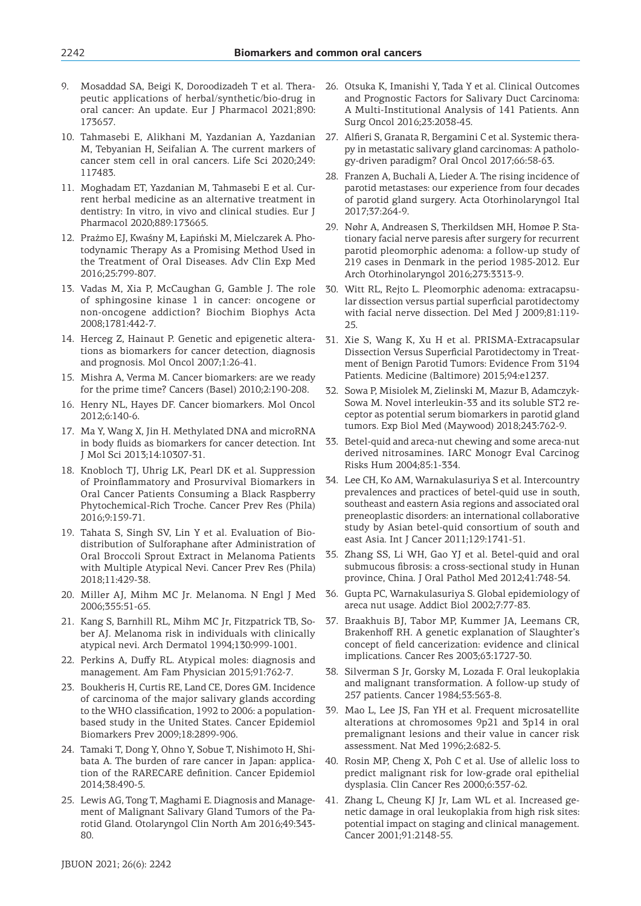- 9. Mosaddad SA, Beigi K, Doroodizadeh T et al. Therapeutic applications of herbal/synthetic/bio-drug in oral cancer: An update. Eur J Pharmacol 2021;890: 173657.
- 10. Tahmasebi E, Alikhani M, Yazdanian A, Yazdanian M, Tebyanian H, Seifalian A. The current markers of cancer stem cell in oral cancers. Life Sci 2020;249: 117483.
- 11. Moghadam ET, Yazdanian M, Tahmasebi E et al. Current herbal medicine as an alternative treatment in dentistry: In vitro, in vivo and clinical studies. Eur J Pharmacol 2020;889:173665.
- 12. Prażmo EJ, Kwaśny M, Łapiński M, Mielczarek A. Photodynamic Therapy As a Promising Method Used in the Treatment of Oral Diseases. Adv Clin Exp Med 2016;25:799-807.
- 13. Vadas M, Xia P, McCaughan G, Gamble J. The role of sphingosine kinase 1 in cancer: oncogene or non-oncogene addiction? Biochim Biophys Acta 2008;1781:442-7.
- 14. Herceg Z, Hainaut P. Genetic and epigenetic alterations as biomarkers for cancer detection, diagnosis and prognosis. Mol Oncol 2007;1:26-41.
- 15. Mishra A, Verma M. Cancer biomarkers: are we ready for the prime time? Cancers (Basel) 2010;2:190-208.
- 16. Henry NL, Hayes DF. Cancer biomarkers. Mol Oncol 2012;6:140-6.
- 17. Ma Y, Wang X, Jin H. Methylated DNA and microRNA in body fluids as biomarkers for cancer detection. Int J Mol Sci 2013;14:10307-31.
- 18. Knobloch TJ, Uhrig LK, Pearl DK et al. Suppression of Proinflammatory and Prosurvival Biomarkers in Oral Cancer Patients Consuming a Black Raspberry Phytochemical-Rich Troche. Cancer Prev Res (Phila) 2016;9:159-71.
- 19. Tahata S, Singh SV, Lin Y et al. Evaluation of Biodistribution of Sulforaphane after Administration of Oral Broccoli Sprout Extract in Melanoma Patients with Multiple Atypical Nevi. Cancer Prev Res (Phila) 2018;11:429-38.
- 20. Miller AJ, Mihm MC Jr. Melanoma. N Engl J Med 2006;355:51-65.
- 21. Kang S, Barnhill RL, Mihm MC Jr, Fitzpatrick TB, Sober AJ. Melanoma risk in individuals with clinically atypical nevi. Arch Dermatol 1994;130:999-1001.
- 22. Perkins A, Duffy RL. Atypical moles: diagnosis and management. Am Fam Physician 2015;91:762-7.
- 23. Boukheris H, Curtis RE, Land CE, Dores GM. Incidence of carcinoma of the major salivary glands according to the WHO classification, 1992 to 2006: a populationbased study in the United States. Cancer Epidemiol Biomarkers Prev 2009;18:2899-906.
- 24. Tamaki T, Dong Y, Ohno Y, Sobue T, Nishimoto H, Shibata A. The burden of rare cancer in Japan: application of the RARECARE definition. Cancer Epidemiol 2014;38:490-5.
- 25. Lewis AG, Tong T, Maghami E. Diagnosis and Management of Malignant Salivary Gland Tumors of the Parotid Gland. Otolaryngol Clin North Am 2016;49:343- 80.
- 26. Otsuka K, Imanishi Y, Tada Y et al. Clinical Outcomes and Prognostic Factors for Salivary Duct Carcinoma: A Multi-Institutional Analysis of 141 Patients. Ann Surg Oncol 2016;23:2038-45.
- 27. Alfieri S, Granata R, Bergamini C et al. Systemic therapy in metastatic salivary gland carcinomas: A pathology-driven paradigm? Oral Oncol 2017;66:58-63.
- 28. Franzen A, Buchali A, Lieder A. The rising incidence of parotid metastases: our experience from four decades of parotid gland surgery. Acta Otorhinolaryngol Ital 2017;37:264-9.
- 29. Nøhr A, Andreasen S, Therkildsen MH, Homøe P. Stationary facial nerve paresis after surgery for recurrent parotid pleomorphic adenoma: a follow-up study of 219 cases in Denmark in the period 1985-2012. Eur Arch Otorhinolaryngol 2016;273:3313-9.
- 30. Witt RL, Rejto L. Pleomorphic adenoma: extracapsular dissection versus partial superficial parotidectomy with facial nerve dissection. Del Med J 2009;81:119- 25.
- 31. Xie S, Wang K, Xu H et al. PRISMA-Extracapsular Dissection Versus Superficial Parotidectomy in Treatment of Benign Parotid Tumors: Evidence From 3194 Patients. Medicine (Baltimore) 2015;94:e1237.
- 32. Sowa P, Misiolek M, Zielinski M, Mazur B, Adamczyk-Sowa M. Novel interleukin-33 and its soluble ST2 receptor as potential serum biomarkers in parotid gland tumors. Exp Biol Med (Maywood) 2018;243:762-9.
- 33. Betel-quid and areca-nut chewing and some areca-nut derived nitrosamines. IARC Monogr Eval Carcinog Risks Hum 2004;85:1-334.
- 34. Lee CH, Ko AM, Warnakulasuriya S et al. Intercountry prevalences and practices of betel-quid use in south, southeast and eastern Asia regions and associated oral preneoplastic disorders: an international collaborative study by Asian betel-quid consortium of south and east Asia. Int J Cancer 2011;129:1741-51.
- 35. Zhang SS, Li WH, Gao YJ et al. Betel-quid and oral submucous fibrosis: a cross-sectional study in Hunan province, China. J Oral Pathol Med 2012;41:748-54.
- 36. Gupta PC, Warnakulasuriya S. Global epidemiology of areca nut usage. Addict Biol 2002;7:77-83.
- 37. Braakhuis BJ, Tabor MP, Kummer JA, Leemans CR, Brakenhoff RH. A genetic explanation of Slaughter's concept of field cancerization: evidence and clinical implications. Cancer Res 2003;63:1727-30.
- 38. Silverman S Jr, Gorsky M, Lozada F. Oral leukoplakia and malignant transformation. A follow-up study of 257 patients. Cancer 1984;53:563-8.
- 39. Mao L, Lee JS, Fan YH et al. Frequent microsatellite alterations at chromosomes 9p21 and 3p14 in oral premalignant lesions and their value in cancer risk assessment. Nat Med 1996;2:682-5.
- 40. Rosin MP, Cheng X, Poh C et al. Use of allelic loss to predict malignant risk for low-grade oral epithelial dysplasia. Clin Cancer Res 2000;6:357-62.
- Zhang L, Cheung KJ Jr, Lam WL et al. Increased genetic damage in oral leukoplakia from high risk sites: potential impact on staging and clinical management. Cancer 2001;91:2148-55.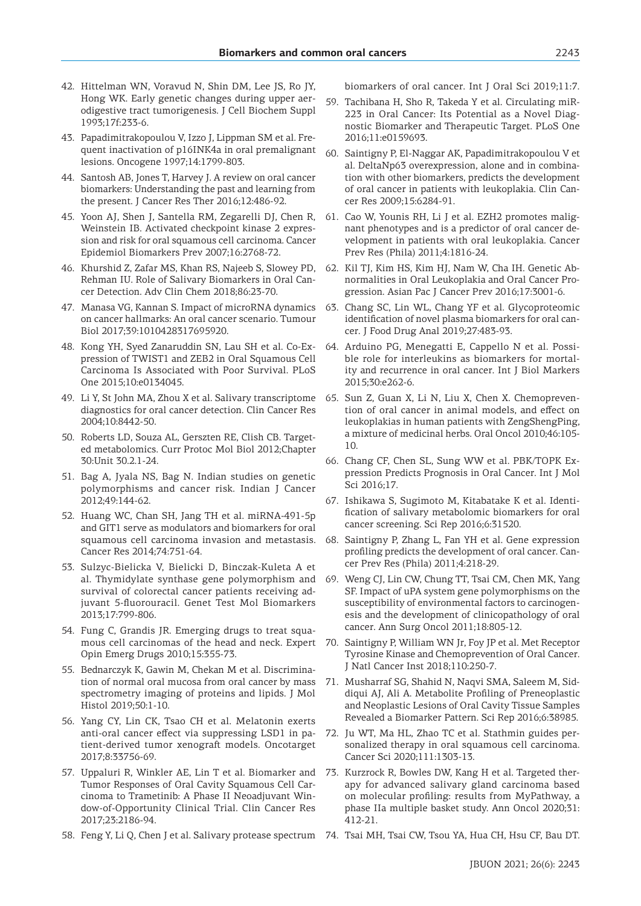- 42. Hittelman WN, Voravud N, Shin DM, Lee JS, Ro JY, Hong WK. Early genetic changes during upper aerodigestive tract tumorigenesis. J Cell Biochem Suppl 1993;17f:233-6.
- 43. Papadimitrakopoulou V, Izzo J, Lippman SM et al. Frequent inactivation of p16INK4a in oral premalignant lesions. Oncogene 1997;14:1799-803.
- 44. Santosh AB, Jones T, Harvey J. A review on oral cancer biomarkers: Understanding the past and learning from the present. J Cancer Res Ther 2016;12:486-92.
- 45. Yoon AJ, Shen J, Santella RM, Zegarelli DJ, Chen R, Weinstein IB. Activated checkpoint kinase 2 expression and risk for oral squamous cell carcinoma. Cancer Epidemiol Biomarkers Prev 2007;16:2768-72.
- 46. Khurshid Z, Zafar MS, Khan RS, Najeeb S, Slowey PD, Rehman IU. Role of Salivary Biomarkers in Oral Cancer Detection. Adv Clin Chem 2018;86:23-70.
- 47. Manasa VG, Kannan S. Impact of microRNA dynamics on cancer hallmarks: An oral cancer scenario. Tumour Biol 2017;39:1010428317695920.
- 48. Kong YH, Syed Zanaruddin SN, Lau SH et al. Co-Expression of TWIST1 and ZEB2 in Oral Squamous Cell Carcinoma Is Associated with Poor Survival. PLoS One 2015;10:e0134045.
- 49. Li Y, St John MA, Zhou X et al. Salivary transcriptome diagnostics for oral cancer detection. Clin Cancer Res 2004;10:8442-50.
- 50. Roberts LD, Souza AL, Gerszten RE, Clish CB. Targeted metabolomics. Curr Protoc Mol Biol 2012;Chapter 30:Unit 30.2.1-24.
- 51. Bag A, Jyala NS, Bag N. Indian studies on genetic polymorphisms and cancer risk. Indian J Cancer 2012;49:144-62.
- 52. Huang WC, Chan SH, Jang TH et al. miRNA-491-5p and GIT1 serve as modulators and biomarkers for oral squamous cell carcinoma invasion and metastasis. Cancer Res 2014;74:751-64.
- 53. Sulzyc-Bielicka V, Bielicki D, Binczak-Kuleta A et al. Thymidylate synthase gene polymorphism and survival of colorectal cancer patients receiving adjuvant 5-fluorouracil. Genet Test Mol Biomarkers 2013;17:799-806.
- 54. Fung C, Grandis JR. Emerging drugs to treat squamous cell carcinomas of the head and neck. Expert Opin Emerg Drugs 2010;15:355-73.
- 55. Bednarczyk K, Gawin M, Chekan M et al. Discrimination of normal oral mucosa from oral cancer by mass spectrometry imaging of proteins and lipids. J Mol Histol 2019;50:1-10.
- 56. Yang CY, Lin CK, Tsao CH et al. Melatonin exerts anti-oral cancer effect via suppressing LSD1 in patient-derived tumor xenograft models. Oncotarget 2017;8:33756-69.
- 57. Uppaluri R, Winkler AE, Lin T et al. Biomarker and Tumor Responses of Oral Cavity Squamous Cell Carcinoma to Trametinib: A Phase II Neoadjuvant Window-of-Opportunity Clinical Trial. Clin Cancer Res 2017;23:2186-94.
- 58. Feng Y, Li Q, Chen J et al. Salivary protease spectrum 74. Tsai MH, Tsai CW, Tsou YA, Hua CH, Hsu CF, Bau DT.

biomarkers of oral cancer. Int J Oral Sci 2019;11:7.

- 59. Tachibana H, Sho R, Takeda Y et al. Circulating miR-223 in Oral Cancer: Its Potential as a Novel Diagnostic Biomarker and Therapeutic Target. PLoS One 2016;11:e0159693.
- 60. Saintigny P, El-Naggar AK, Papadimitrakopoulou V et al. DeltaNp63 overexpression, alone and in combination with other biomarkers, predicts the development of oral cancer in patients with leukoplakia. Clin Cancer Res 2009;15:6284-91.
- 61. Cao W, Younis RH, Li J et al. EZH2 promotes malignant phenotypes and is a predictor of oral cancer development in patients with oral leukoplakia. Cancer Prev Res (Phila) 2011;4:1816-24.
- 62. Kil TJ, Kim HS, Kim HJ, Nam W, Cha IH. Genetic Abnormalities in Oral Leukoplakia and Oral Cancer Progression. Asian Pac J Cancer Prev 2016;17:3001-6.
- 63. Chang SC, Lin WL, Chang YF et al. Glycoproteomic identification of novel plasma biomarkers for oral cancer. J Food Drug Anal 2019;27:483-93.
- 64. Arduino PG, Menegatti E, Cappello N et al. Possible role for interleukins as biomarkers for mortality and recurrence in oral cancer. Int J Biol Markers 2015;30:e262-6.
- 65. Sun Z, Guan X, Li N, Liu X, Chen X. Chemoprevention of oral cancer in animal models, and effect on leukoplakias in human patients with ZengShengPing, a mixture of medicinal herbs. Oral Oncol 2010;46:105-  $1<sub>0</sub>$
- 66. Chang CF, Chen SL, Sung WW et al. PBK/TOPK Expression Predicts Prognosis in Oral Cancer. Int J Mol Sci 2016;17.
- 67. Ishikawa S, Sugimoto M, Kitabatake K et al. Identification of salivary metabolomic biomarkers for oral cancer screening. Sci Rep 2016;6:31520.
- 68. Saintigny P, Zhang L, Fan YH et al. Gene expression profiling predicts the development of oral cancer. Cancer Prev Res (Phila) 2011;4:218-29.
- 69. Weng CJ, Lin CW, Chung TT, Tsai CM, Chen MK, Yang SF. Impact of uPA system gene polymorphisms on the susceptibility of environmental factors to carcinogenesis and the development of clinicopathology of oral cancer. Ann Surg Oncol 2011;18:805-12.
- 70. Saintigny P, William WN Jr, Foy JP et al. Met Receptor Tyrosine Kinase and Chemoprevention of Oral Cancer. J Natl Cancer Inst 2018;110:250-7.
- 71. Musharraf SG, Shahid N, Naqvi SMA, Saleem M, Siddiqui AJ, Ali A. Metabolite Profiling of Preneoplastic and Neoplastic Lesions of Oral Cavity Tissue Samples Revealed a Biomarker Pattern. Sci Rep 2016;6:38985.
- 72. Ju WT, Ma HL, Zhao TC et al. Stathmin guides personalized therapy in oral squamous cell carcinoma. Cancer Sci 2020;111:1303-13.
- 73. Kurzrock R, Bowles DW, Kang H et al. Targeted therapy for advanced salivary gland carcinoma based on molecular profiling: results from MyPathway, a phase IIa multiple basket study. Ann Oncol 2020;31: 412-21.
-